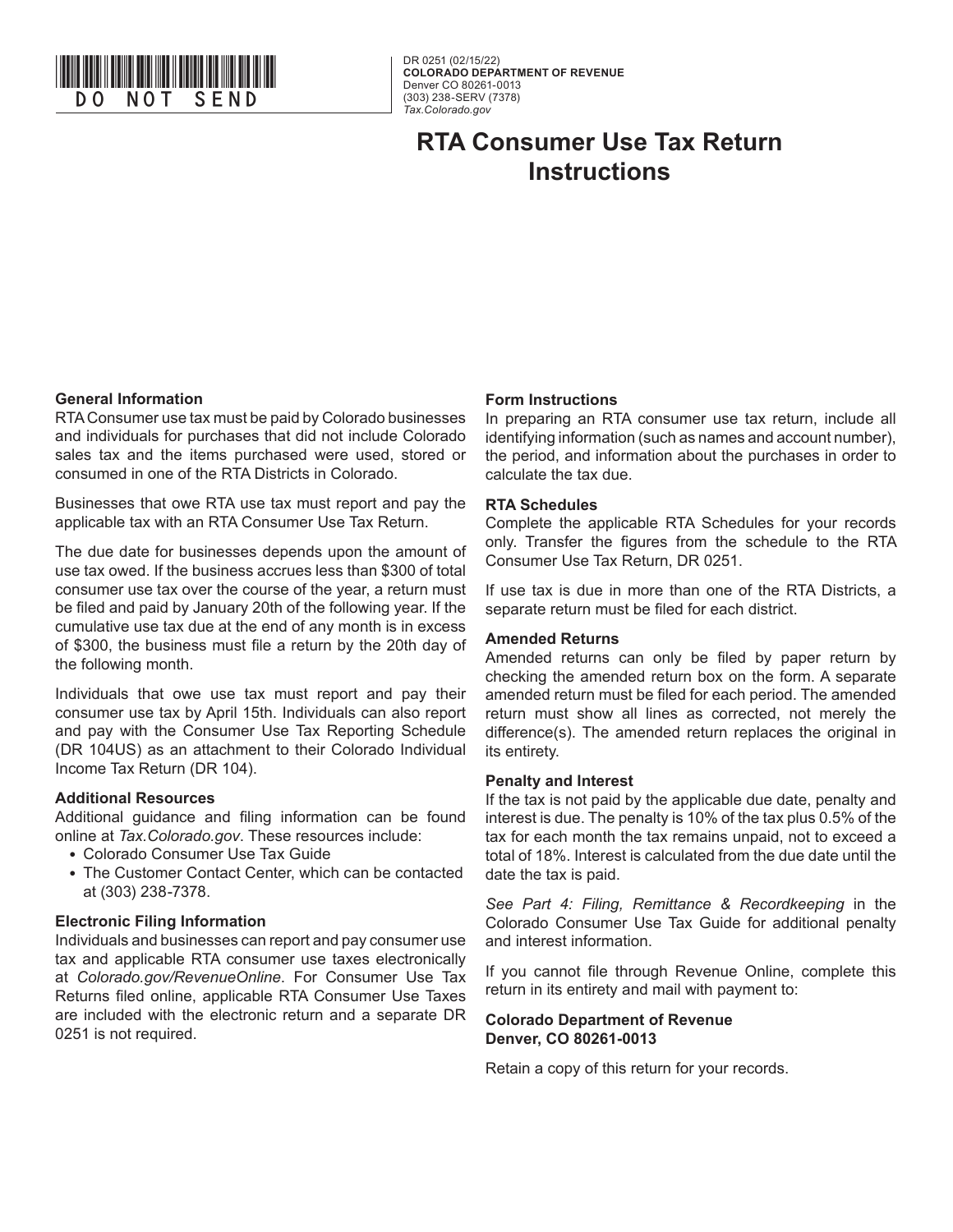

DR 0251 (02/15/22) **COLORADO DEPARTMENT OF REVENUE**  Denver CO 80261-0013 (303) 238-SERV (7378) *Tax.Colorado.gov*

## **RTA Consumer Use Tax Return Instructions**

#### **General Information**

RTA Consumer use tax must be paid by Colorado businesses and individuals for purchases that did not include Colorado sales tax and the items purchased were used, stored or consumed in one of the RTA Districts in Colorado.

Businesses that owe RTA use tax must report and pay the applicable tax with an RTA Consumer Use Tax Return.

The due date for businesses depends upon the amount of use tax owed. If the business accrues less than \$300 of total consumer use tax over the course of the year, a return must be filed and paid by January 20th of the following year. If the cumulative use tax due at the end of any month is in excess of \$300, the business must file a return by the 20th day of the following month.

Individuals that owe use tax must report and pay their consumer use tax by April 15th. Individuals can also report and pay with the Consumer Use Tax Reporting Schedule (DR 104US) as an attachment to their Colorado Individual Income Tax Return (DR 104).

#### **Additional Resources**

Additional guidance and filing information can be found online at *Tax.Colorado.gov*. These resources include:

- Colorado Consumer Use Tax Guide
- The Customer Contact Center, which can be contacted at (303) 238-7378.

#### **Electronic Filing Information**

Individuals and businesses can report and pay consumer use tax and applicable RTA consumer use taxes electronically at *Colorado.gov/RevenueOnline*. For Consumer Use Tax Returns filed online, applicable RTA Consumer Use Taxes are included with the electronic return and a separate DR 0251 is not required.

#### **Form Instructions**

In preparing an RTA consumer use tax return, include all identifying information (such as names and account number), the period, and information about the purchases in order to calculate the tax due.

#### **RTA Schedules**

Complete the applicable RTA Schedules for your records only. Transfer the figures from the schedule to the RTA Consumer Use Tax Return, DR 0251.

If use tax is due in more than one of the RTA Districts, a separate return must be filed for each district.

#### **Amended Returns**

Amended returns can only be filed by paper return by checking the amended return box on the form. A separate amended return must be filed for each period. The amended return must show all lines as corrected, not merely the difference(s). The amended return replaces the original in its entirety.

#### **Penalty and Interest**

If the tax is not paid by the applicable due date, penalty and interest is due. The penalty is 10% of the tax plus 0.5% of the tax for each month the tax remains unpaid, not to exceed a total of 18%. Interest is calculated from the due date until the date the tax is paid.

*See Part 4: Filing, Remittance & Recordkeeping* in the Colorado Consumer Use Tax Guide for additional penalty and interest information.

If you cannot file through Revenue Online, complete this return in its entirety and mail with payment to:

**Colorado Department of Revenue Denver, CO 80261-0013** 

Retain a copy of this return for your records.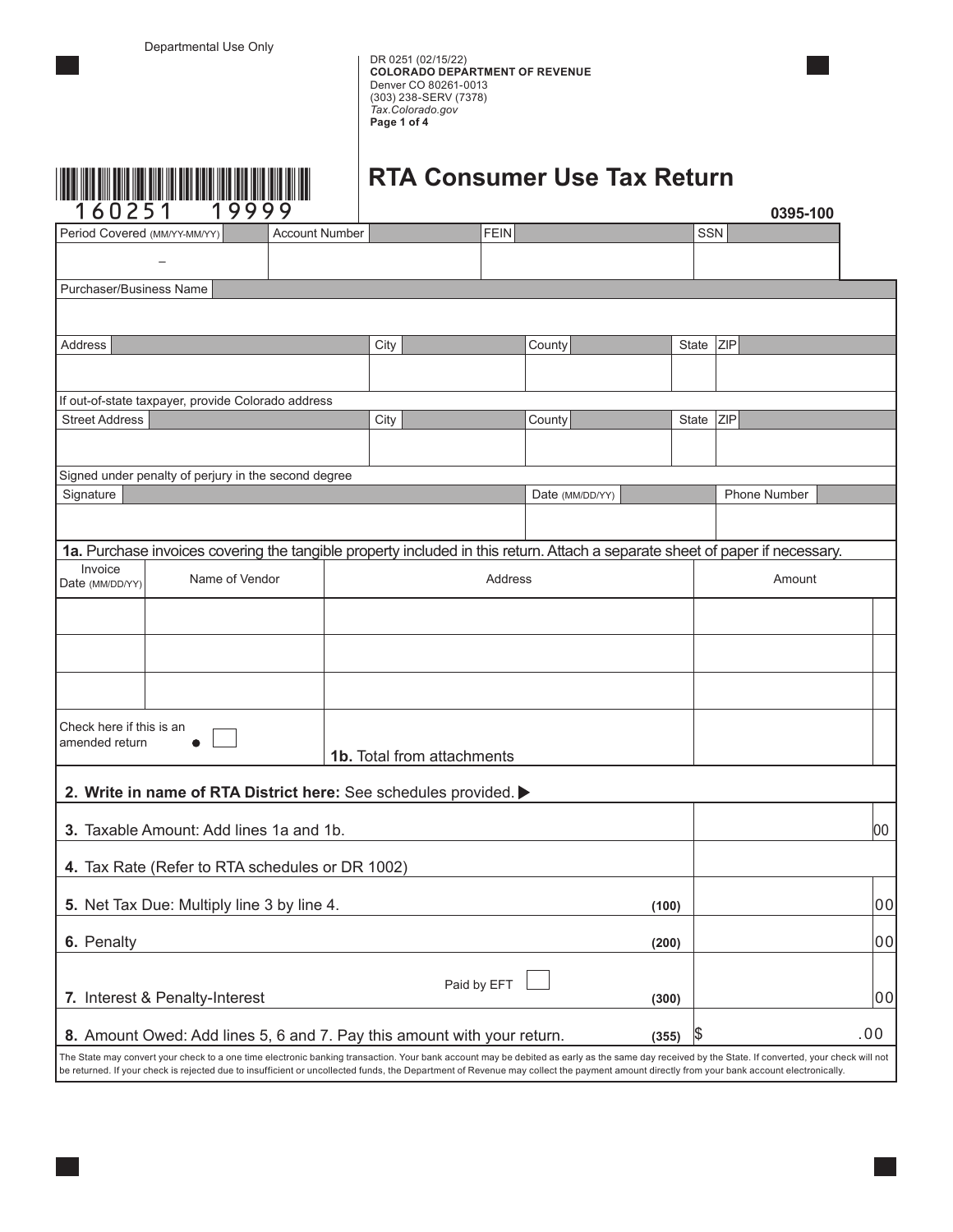DR 0251 (02/15/22) **COLORADO DEPARTMENT OF REVENUE**  Denver CO 80261-0013 (303) 238-SERV (7378) *Tax.Colorado.gov* **Page 1 of 4**



# **RTA Consumer Use Tax Return**

| 1<br>60251                                                                       | 19999                                                                                                                                                                                     |                       |                                   |             |                                                                                                                                                                                                   |       |            | 0395-100            |    |
|----------------------------------------------------------------------------------|-------------------------------------------------------------------------------------------------------------------------------------------------------------------------------------------|-----------------------|-----------------------------------|-------------|---------------------------------------------------------------------------------------------------------------------------------------------------------------------------------------------------|-------|------------|---------------------|----|
| Period Covered (MM/YY-MM/YY)                                                     |                                                                                                                                                                                           | <b>Account Number</b> |                                   | FEIN        |                                                                                                                                                                                                   |       | <b>SSN</b> |                     |    |
|                                                                                  |                                                                                                                                                                                           |                       |                                   |             |                                                                                                                                                                                                   |       |            |                     |    |
| Purchaser/Business Name                                                          |                                                                                                                                                                                           |                       |                                   |             |                                                                                                                                                                                                   |       |            |                     |    |
|                                                                                  |                                                                                                                                                                                           |                       |                                   |             |                                                                                                                                                                                                   |       |            |                     |    |
| Address                                                                          |                                                                                                                                                                                           |                       | City                              |             | County                                                                                                                                                                                            |       | State      | <b>ZIP</b>          |    |
|                                                                                  |                                                                                                                                                                                           |                       |                                   |             |                                                                                                                                                                                                   |       |            |                     |    |
|                                                                                  | If out-of-state taxpayer, provide Colorado address                                                                                                                                        |                       |                                   |             |                                                                                                                                                                                                   |       |            |                     |    |
| <b>Street Address</b>                                                            |                                                                                                                                                                                           |                       | City                              |             | County                                                                                                                                                                                            |       | State      | <b>ZIP</b>          |    |
|                                                                                  |                                                                                                                                                                                           |                       |                                   |             |                                                                                                                                                                                                   |       |            |                     |    |
|                                                                                  | Signed under penalty of perjury in the second degree                                                                                                                                      |                       |                                   |             |                                                                                                                                                                                                   |       |            |                     |    |
| Signature                                                                        |                                                                                                                                                                                           |                       |                                   |             | Date (MM/DD/YY)                                                                                                                                                                                   |       |            | <b>Phone Number</b> |    |
|                                                                                  |                                                                                                                                                                                           |                       |                                   |             |                                                                                                                                                                                                   |       |            |                     |    |
|                                                                                  |                                                                                                                                                                                           |                       |                                   |             | 1a. Purchase invoices covering the tangible property included in this return. Attach a separate sheet of paper if necessary.                                                                      |       |            |                     |    |
| Date (MM/DD/YY)                                                                  | Invoice<br>Name of Vendor<br>Address                                                                                                                                                      |                       |                                   |             |                                                                                                                                                                                                   |       | Amount     |                     |    |
|                                                                                  |                                                                                                                                                                                           |                       |                                   |             |                                                                                                                                                                                                   |       |            |                     |    |
|                                                                                  |                                                                                                                                                                                           |                       |                                   |             |                                                                                                                                                                                                   |       |            |                     |    |
|                                                                                  |                                                                                                                                                                                           |                       |                                   |             |                                                                                                                                                                                                   |       |            |                     |    |
| Check here if this is an<br>amended return                                       |                                                                                                                                                                                           |                       | <b>1b.</b> Total from attachments |             |                                                                                                                                                                                                   |       |            |                     |    |
|                                                                                  | 2. Write in name of RTA District here: See schedules provided.                                                                                                                            |                       |                                   |             |                                                                                                                                                                                                   |       |            |                     |    |
|                                                                                  |                                                                                                                                                                                           |                       |                                   |             |                                                                                                                                                                                                   |       |            |                     |    |
|                                                                                  | <b>3.</b> Taxable Amount: Add lines 1a and 1b.                                                                                                                                            |                       |                                   |             |                                                                                                                                                                                                   |       |            |                     | 00 |
|                                                                                  | 4. Tax Rate (Refer to RTA schedules or DR 1002)                                                                                                                                           |                       |                                   |             |                                                                                                                                                                                                   |       |            |                     |    |
|                                                                                  | 5. Net Tax Due: Multiply line 3 by line 4.                                                                                                                                                |                       |                                   |             |                                                                                                                                                                                                   | (100) |            |                     | 00 |
| 6. Penalty                                                                       |                                                                                                                                                                                           |                       |                                   |             |                                                                                                                                                                                                   | (200) |            |                     | 00 |
|                                                                                  |                                                                                                                                                                                           |                       |                                   |             |                                                                                                                                                                                                   |       |            |                     |    |
|                                                                                  | 7. Interest & Penalty-Interest                                                                                                                                                            |                       |                                   | Paid by EFT |                                                                                                                                                                                                   | (300) |            |                     | 00 |
| 8. Amount Owed: Add lines 5, 6 and 7. Pay this amount with your return.<br>(355) |                                                                                                                                                                                           |                       |                                   |             | \$                                                                                                                                                                                                |       | .00        |                     |    |
|                                                                                  | be returned. If your check is rejected due to insufficient or uncollected funds, the Department of Revenue may collect the payment amount directly from your bank account electronically. |                       |                                   |             | The State may convert your check to a one time electronic banking transaction. Your bank account may be debited as early as the same day received by the State. If converted, your check will not |       |            |                     |    |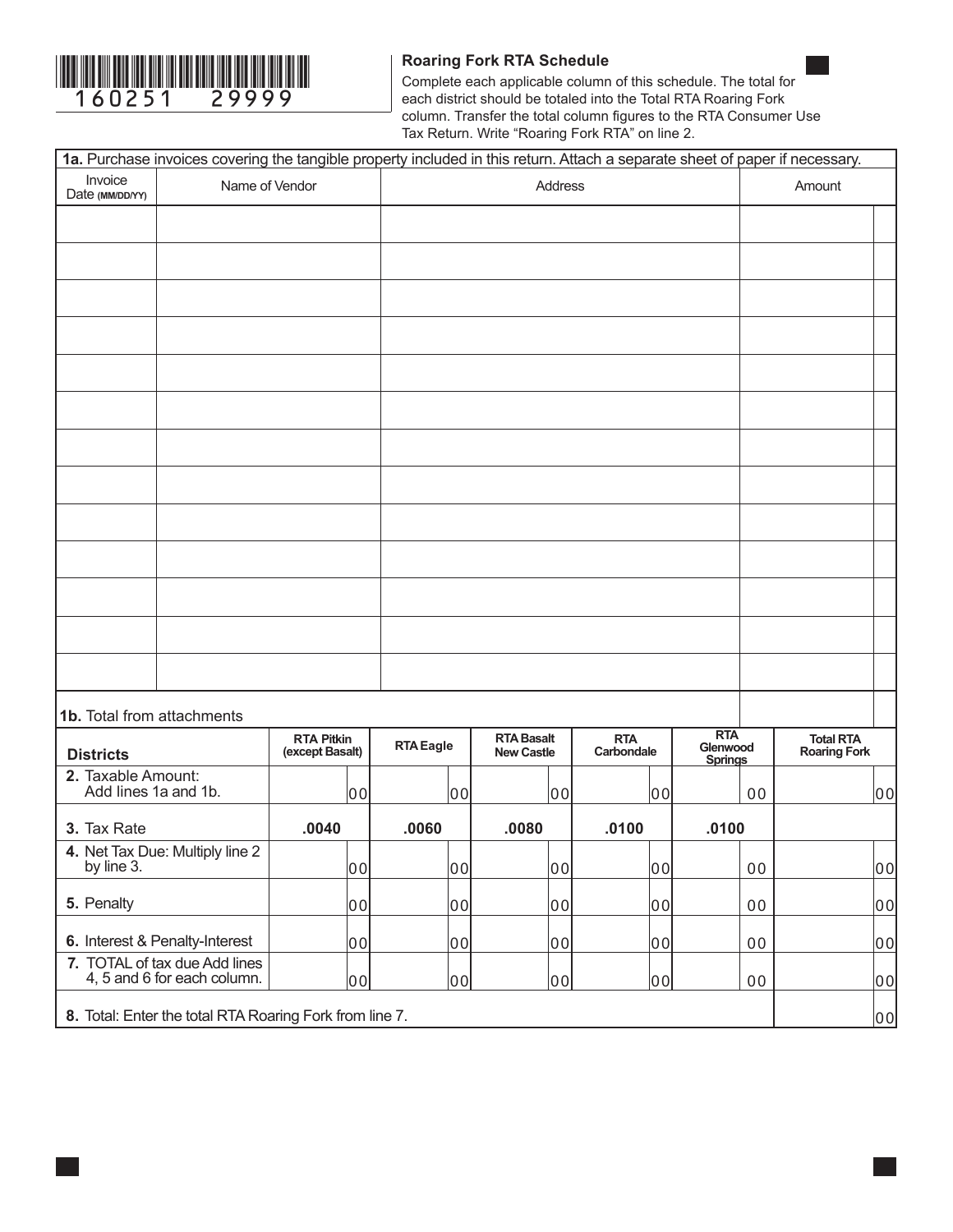

### **Roaring Fork RTA Schedule**

Complete each applicable column of this schedule. The total for each district should be totaled into the Total RTA Roaring Fork column. Transfer the total column figures to the RTA Consumer Use Tax Return. Write "Roaring Fork RTA" on line 2.

|                                                              | 1a. Purchase invoices covering the tangible property included in this return. Attach a separate sheet of paper if necessary. |                                      |                  |                                        |    |                          |                                          |                |                                         |    |
|--------------------------------------------------------------|------------------------------------------------------------------------------------------------------------------------------|--------------------------------------|------------------|----------------------------------------|----|--------------------------|------------------------------------------|----------------|-----------------------------------------|----|
| Invoice<br>Date (MM/DD/YY)                                   | Name of Vendor                                                                                                               |                                      |                  | Address                                |    |                          |                                          |                | Amount                                  |    |
|                                                              |                                                                                                                              |                                      |                  |                                        |    |                          |                                          |                |                                         |    |
|                                                              |                                                                                                                              |                                      |                  |                                        |    |                          |                                          |                |                                         |    |
|                                                              |                                                                                                                              |                                      |                  |                                        |    |                          |                                          |                |                                         |    |
|                                                              |                                                                                                                              |                                      |                  |                                        |    |                          |                                          |                |                                         |    |
|                                                              |                                                                                                                              |                                      |                  |                                        |    |                          |                                          |                |                                         |    |
|                                                              |                                                                                                                              |                                      |                  |                                        |    |                          |                                          |                |                                         |    |
|                                                              |                                                                                                                              |                                      |                  |                                        |    |                          |                                          |                |                                         |    |
|                                                              |                                                                                                                              |                                      |                  |                                        |    |                          |                                          |                |                                         |    |
|                                                              |                                                                                                                              |                                      |                  |                                        |    |                          |                                          |                |                                         |    |
|                                                              |                                                                                                                              |                                      |                  |                                        |    |                          |                                          |                |                                         |    |
|                                                              |                                                                                                                              |                                      |                  |                                        |    |                          |                                          |                |                                         |    |
|                                                              |                                                                                                                              |                                      |                  |                                        |    |                          |                                          |                |                                         |    |
|                                                              |                                                                                                                              |                                      |                  |                                        |    |                          |                                          |                |                                         |    |
| 1b. Total from attachments                                   |                                                                                                                              |                                      |                  |                                        |    |                          |                                          |                |                                         |    |
| <b>Districts</b>                                             |                                                                                                                              | <b>RTA Pitkin</b><br>(except Basalt) | <b>RTA Eagle</b> | <b>RTA Basalt</b><br><b>New Castle</b> |    | <b>RTA</b><br>Carbondale | <b>RTA</b><br>Glenwood<br><b>Springs</b> |                | <b>Total RTA</b><br><b>Roaring Fork</b> |    |
| 2. Taxable Amount:<br>Add lines 1a and 1b.                   |                                                                                                                              | 00                                   | 00               | 00                                     |    | 00                       |                                          | 0 <sub>0</sub> |                                         | 00 |
| 3. Tax Rate                                                  |                                                                                                                              | .0040                                | .0060            | .0080                                  |    | .0100                    | .0100                                    |                |                                         |    |
| 4. Net Tax Due: Multiply line 2<br>by line 3.                |                                                                                                                              | 00                                   | 00               |                                        | 00 | 00                       |                                          | 00             |                                         | 00 |
| 5. Penalty                                                   |                                                                                                                              | 00                                   | 00               | 00                                     |    | 00                       |                                          | 00             |                                         | 00 |
| 6. Interest & Penalty-Interest                               |                                                                                                                              | 00                                   | 00               | 00                                     |    | 00                       |                                          | 0 <sub>0</sub> |                                         | 00 |
| 7. TOTAL of tax due Add lines<br>4, 5 and 6 for each column. |                                                                                                                              | 00                                   | 00               | 00                                     |    | 00                       |                                          | 00             |                                         | 00 |
|                                                              | 8. Total: Enter the total RTA Roaring Fork from line 7.                                                                      |                                      |                  |                                        |    |                          |                                          |                |                                         | 00 |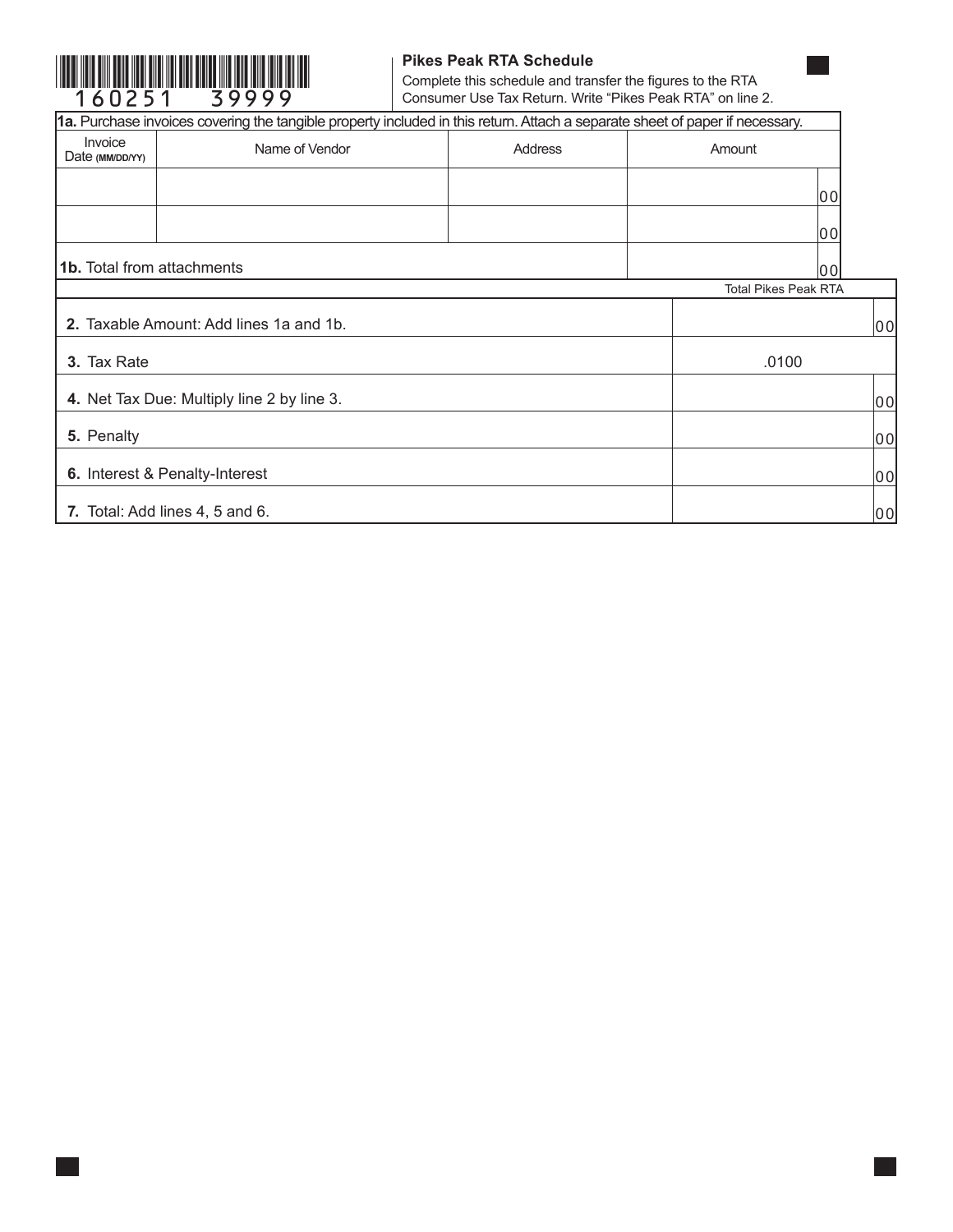

### **Pikes Peak RTA Schedule**

Complete this schedule and transfer the figures to the RTA Consumer Use Tax Return. Write "Pikes Peak RTA" on line 2.

|                                   | 1a. Purchase invoices covering the tangible property included in this return. Attach a separate sheet of paper if necessary. |         |                             |        |
|-----------------------------------|------------------------------------------------------------------------------------------------------------------------------|---------|-----------------------------|--------|
| Invoice<br>Date (MM/DD/YY)        | Name of Vendor                                                                                                               | Address | Amount                      |        |
|                                   |                                                                                                                              |         |                             | 00     |
|                                   |                                                                                                                              |         |                             | 00     |
| <b>1b.</b> Total from attachments |                                                                                                                              |         |                             | l0 0 l |
|                                   |                                                                                                                              |         | <b>Total Pikes Peak RTA</b> |        |
|                                   | 2. Taxable Amount: Add lines 1a and 1b.                                                                                      |         |                             | 00     |
| 3. Tax Rate                       |                                                                                                                              |         | .0100                       |        |
|                                   | 4. Net Tax Due: Multiply line 2 by line 3.                                                                                   |         |                             | 00     |
| 5. Penalty                        |                                                                                                                              |         |                             | 00     |
| 6. Interest & Penalty-Interest    |                                                                                                                              |         |                             | 00     |
| 7. Total: Add lines 4, 5 and 6.   |                                                                                                                              |         |                             | 00     |